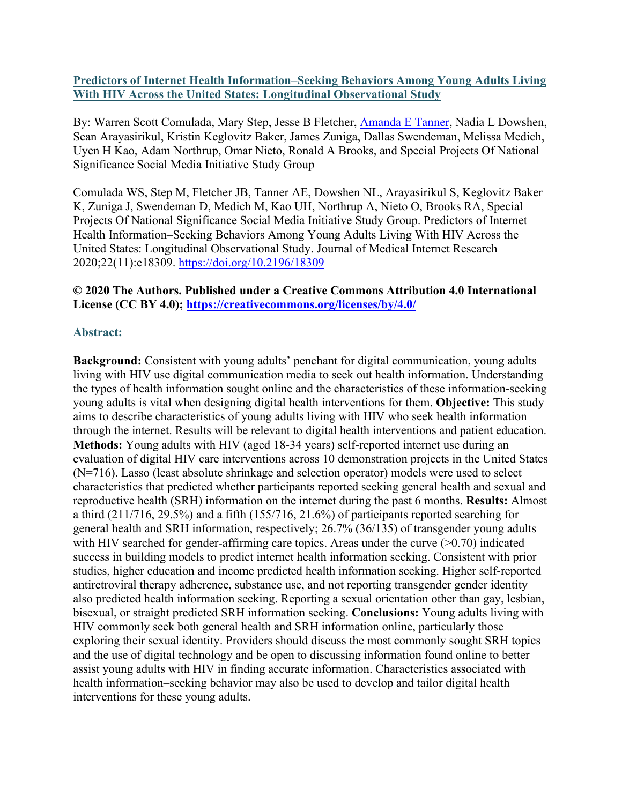# **Predictors of Internet Health Information–Seeking Behaviors Among Young Adults Living With HIV Across the United States: Longitudinal Observational Study**

By: Warren Scott Comulada, Mary Step, Jesse B Fletcher, [Amanda E Tanner,](https://libres.uncg.edu/ir/uncg/clist.aspx?id=7746) Nadia L Dowshen, Sean Arayasirikul, Kristin Keglovitz Baker, James Zuniga, Dallas Swendeman, Melissa Medich, Uyen H Kao, Adam Northrup, Omar Nieto, Ronald A Brooks, and Special Projects Of National Significance Social Media Initiative Study Group

Comulada WS, Step M, Fletcher JB, Tanner AE, Dowshen NL, Arayasirikul S, Keglovitz Baker K, Zuniga J, Swendeman D, Medich M, Kao UH, Northrup A, Nieto O, Brooks RA, Special Projects Of National Significance Social Media Initiative Study Group. Predictors of Internet Health Information–Seeking Behaviors Among Young Adults Living With HIV Across the United States: Longitudinal Observational Study. Journal of Medical Internet Research 2020;22(11):e18309.<https://doi.org/10.2196/18309>

# **© 2020 The Authors. Published under a Creative Commons Attribution 4.0 International License (CC BY 4.0); <https://creativecommons.org/licenses/by/4.0/>**

# **Abstract:**

**Background:** Consistent with young adults' penchant for digital communication, young adults living with HIV use digital communication media to seek out health information. Understanding the types of health information sought online and the characteristics of these information-seeking young adults is vital when designing digital health interventions for them. **Objective:** This study aims to describe characteristics of young adults living with HIV who seek health information through the internet. Results will be relevant to digital health interventions and patient education. **Methods:** Young adults with HIV (aged 18-34 years) self-reported internet use during an evaluation of digital HIV care interventions across 10 demonstration projects in the United States (N=716). Lasso (least absolute shrinkage and selection operator) models were used to select characteristics that predicted whether participants reported seeking general health and sexual and reproductive health (SRH) information on the internet during the past 6 months. **Results:** Almost a third (211/716, 29.5%) and a fifth (155/716, 21.6%) of participants reported searching for general health and SRH information, respectively; 26.7% (36/135) of transgender young adults with HIV searched for gender-affirming care topics. Areas under the curve ( $>0.70$ ) indicated success in building models to predict internet health information seeking. Consistent with prior studies, higher education and income predicted health information seeking. Higher self-reported antiretroviral therapy adherence, substance use, and not reporting transgender gender identity also predicted health information seeking. Reporting a sexual orientation other than gay, lesbian, bisexual, or straight predicted SRH information seeking. **Conclusions:** Young adults living with HIV commonly seek both general health and SRH information online, particularly those exploring their sexual identity. Providers should discuss the most commonly sought SRH topics and the use of digital technology and be open to discussing information found online to better assist young adults with HIV in finding accurate information. Characteristics associated with health information–seeking behavior may also be used to develop and tailor digital health interventions for these young adults.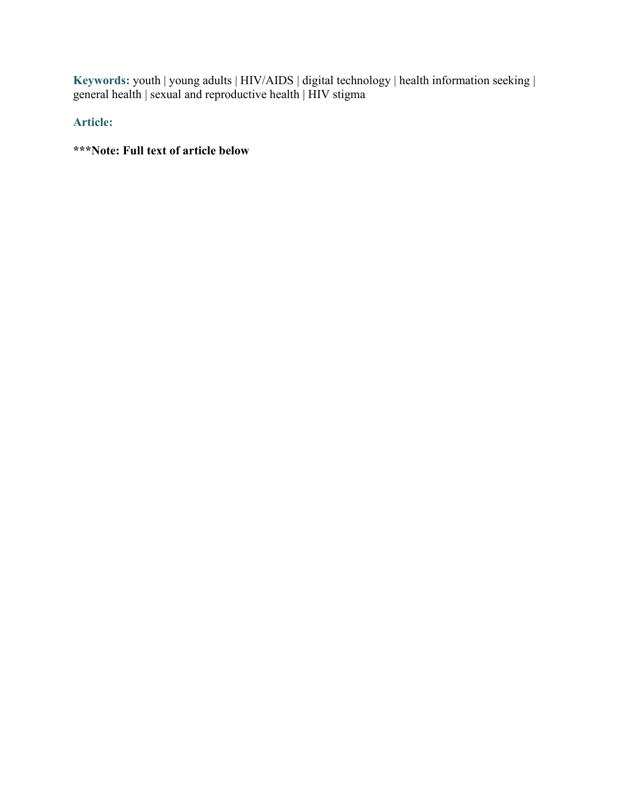**Keywords:** youth | young adults | HIV/AIDS | digital technology | health information seeking | general health | sexual and reproductive health | HIV stigma

# **Article:**

**\*\*\*Note: Full text of article below**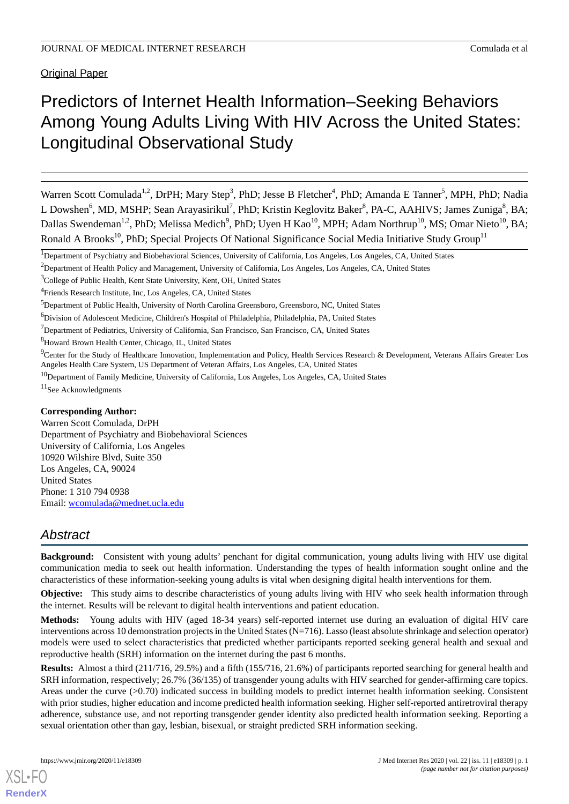Original Paper

# Predictors of Internet Health Information–Seeking Behaviors Among Young Adults Living With HIV Across the United States: Longitudinal Observational Study

Warren Scott Comulada<sup>1,2</sup>, DrPH; Mary Step<sup>3</sup>, PhD; Jesse B Fletcher<sup>4</sup>, PhD; Amanda E Tanner<sup>5</sup>, MPH, PhD; Nadia L Dowshen<sup>6</sup>, MD, MSHP; Sean Arayasirikul<sup>7</sup>, PhD; Kristin Keglovitz Baker<sup>8</sup>, PA-C, AAHIVS; James Zuniga<sup>8</sup>, BA; Dallas Swendeman<sup>1,2</sup>, PhD; Melissa Medich<sup>9</sup>, PhD; Uyen H Kao<sup>10</sup>, MPH; Adam Northrup<sup>10</sup>, MS; Omar Nieto<sup>10</sup>, BA; Ronald A Brooks<sup>10</sup>, PhD; Special Projects Of National Significance Social Media Initiative Study Group<sup>11</sup>

<sup>8</sup>Howard Brown Health Center, Chicago, IL, United States

<sup>9</sup>Center for the Study of Healthcare Innovation, Implementation and Policy, Health Services Research & Development, Veterans Affairs Greater Los Angeles Health Care System, US Department of Veteran Affairs, Los Angeles, CA, United States

<sup>11</sup>See Acknowledgments

# **Corresponding Author:**

Warren Scott Comulada, DrPH Department of Psychiatry and Biobehavioral Sciences University of California, Los Angeles 10920 Wilshire Blvd, Suite 350 Los Angeles, CA, 90024 United States Phone: 1 310 794 0938 Email: [wcomulada@mednet.ucla.edu](mailto:wcomulada@mednet.ucla.edu)

# *Abstract*

**Background:** Consistent with young adults' penchant for digital communication, young adults living with HIV use digital communication media to seek out health information. Understanding the types of health information sought online and the characteristics of these information-seeking young adults is vital when designing digital health interventions for them.

**Objective:** This study aims to describe characteristics of young adults living with HIV who seek health information through the internet. Results will be relevant to digital health interventions and patient education.

**Methods:** Young adults with HIV (aged 18-34 years) self-reported internet use during an evaluation of digital HIV care interventions across 10 demonstration projects in the United States (N=716). Lasso (least absolute shrinkage and selection operator) models were used to select characteristics that predicted whether participants reported seeking general health and sexual and reproductive health (SRH) information on the internet during the past 6 months.

**Results:** Almost a third (211/716, 29.5%) and a fifth (155/716, 21.6%) of participants reported searching for general health and SRH information, respectively; 26.7% (36/135) of transgender young adults with HIV searched for gender-affirming care topics. Areas under the curve (>0.70) indicated success in building models to predict internet health information seeking. Consistent with prior studies, higher education and income predicted health information seeking. Higher self-reported antiretroviral therapy adherence, substance use, and not reporting transgender gender identity also predicted health information seeking. Reporting a sexual orientation other than gay, lesbian, bisexual, or straight predicted SRH information seeking.

<sup>&</sup>lt;sup>1</sup>Department of Psychiatry and Biobehavioral Sciences, University of California, Los Angeles, Los Angeles, CA, United States

<sup>2</sup>Department of Health Policy and Management, University of California, Los Angeles, Los Angeles, CA, United States

<sup>&</sup>lt;sup>3</sup>College of Public Health, Kent State University, Kent, OH, United States

<sup>&</sup>lt;sup>4</sup> Friends Research Institute, Inc, Los Angeles, CA, United States

<sup>5</sup>Department of Public Health, University of North Carolina Greensboro, Greensboro, NC, United States

<sup>&</sup>lt;sup>6</sup>Division of Adolescent Medicine, Children's Hospital of Philadelphia, Philadelphia, PA, United States

<sup>7</sup>Department of Pediatrics, University of California, San Francisco, San Francisco, CA, United States

<sup>&</sup>lt;sup>10</sup>Department of Family Medicine, University of California, Los Angeles, Los Angeles, CA, United States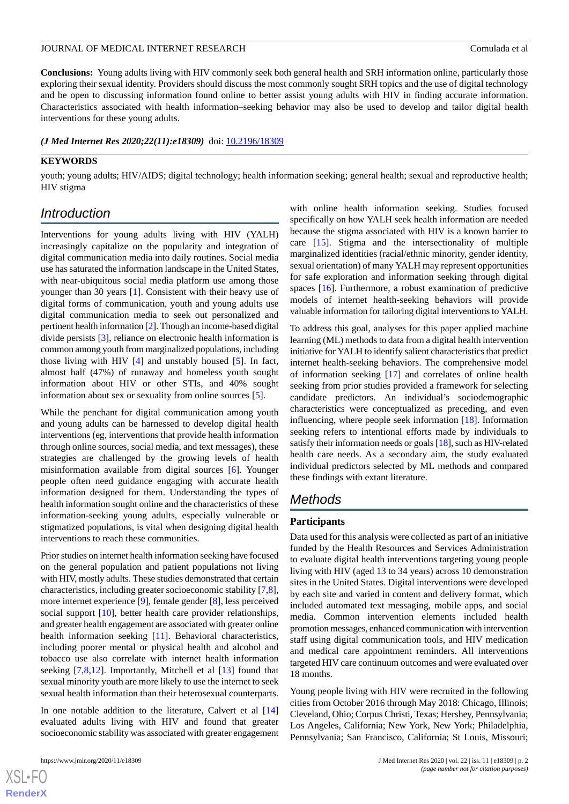**Conclusions:** Young adults living with HIV commonly seek both general health and SRH information online, particularly those exploring their sexual identity. Providers should discuss the most commonly sought SRH topics and the use of digital technology and be open to discussing information found online to better assist young adults with HIV in finding accurate information. Characteristics associated with health information–seeking behavior may also be used to develop and tailor digital health interventions for these young adults.

(*J Med Internet Res 2020;22(11):e18309*) doi: [10.2196/18309](http://dx.doi.org/10.2196/18309)

#### **KEYWORDS**

youth; young adults; HIV/AIDS; digital technology; health information seeking; general health; sexual and reproductive health; HIV stigma

# *Introduction*

Interventions for young adults living with HIV (YALH) increasingly capitalize on the popularity and integration of digital communication media into daily routines. Social media use has saturated the information landscape in the United States, with near-ubiquitous social media platform use among those younger than 30 years [\[1](#page-13-0)]. Consistent with their heavy use of digital forms of communication, youth and young adults use digital communication media to seek out personalized and pertinent health information [\[2](#page-13-1)]. Though an income-based digital divide persists [[3\]](#page-13-2), reliance on electronic health information is common among youth from marginalized populations, including those living with HIV [\[4](#page-13-3)] and unstably housed [[5\]](#page-13-4). In fact, almost half (47%) of runaway and homeless youth sought information about HIV or other STIs, and 40% sought information about sex or sexuality from online sources [\[5](#page-13-4)].

While the penchant for digital communication among youth and young adults can be harnessed to develop digital health interventions (eg, interventions that provide health information through online sources, social media, and text messages), these strategies are challenged by the growing levels of health misinformation available from digital sources [\[6](#page-13-5)]. Younger people often need guidance engaging with accurate health information designed for them. Understanding the types of health information sought online and the characteristics of these information-seeking young adults, especially vulnerable or stigmatized populations, is vital when designing digital health interventions to reach these communities.

Prior studies on internet health information seeking have focused on the general population and patient populations not living with HIV, mostly adults. These studies demonstrated that certain characteristics, including greater socioeconomic stability [\[7](#page-13-6),[8\]](#page-13-7), more internet experience [\[9](#page-13-8)], female gender [[8\]](#page-13-7), less perceived social support [\[10](#page-13-9)], better health care provider relationships, and greater health engagement are associated with greater online health information seeking [[11\]](#page-13-10). Behavioral characteristics, including poorer mental or physical health and alcohol and tobacco use also correlate with internet health information seeking [\[7](#page-13-6),[8](#page-13-7)[,12](#page-13-11)]. Importantly, Mitchell et al [[13\]](#page-13-12) found that sexual minority youth are more likely to use the internet to seek sexual health information than their heterosexual counterparts.

In one notable addition to the literature, Calvert et al [\[14](#page-13-13)] evaluated adults living with HIV and found that greater socioeconomic stability was associated with greater engagement

with online health information seeking. Studies focused specifically on how YALH seek health information are needed because the stigma associated with HIV is a known barrier to care [\[15](#page-13-14)]. Stigma and the intersectionality of multiple marginalized identities (racial/ethnic minority, gender identity, sexual orientation) of many YALH may represent opportunities for safe exploration and information seeking through digital spaces [[16\]](#page-13-15). Furthermore, a robust examination of predictive models of internet health-seeking behaviors will provide valuable information for tailoring digital interventions to YALH.

To address this goal, analyses for this paper applied machine learning (ML) methods to data from a digital health intervention initiative for YALH to identify salient characteristics that predict internet health-seeking behaviors. The comprehensive model of information seeking [\[17](#page-13-16)] and correlates of online health seeking from prior studies provided a framework for selecting candidate predictors. An individual's sociodemographic characteristics were conceptualized as preceding, and even influencing, where people seek information [\[18](#page-13-17)]. Information seeking refers to intentional efforts made by individuals to satisfy their information needs or goals [\[18\]](#page-13-17), such as HIV-related health care needs. As a secondary aim, the study evaluated individual predictors selected by ML methods and compared these findings with extant literature.

# *Methods*

#### **Participants**

Data used for this analysis were collected as part of an initiative funded by the Health Resources and Services Administration to evaluate digital health interventions targeting young people living with HIV (aged 13 to 34 years) across 10 demonstration sites in the United States. Digital interventions were developed by each site and varied in content and delivery format, which included automated text messaging, mobile apps, and social media. Common intervention elements included health promotion messages, enhanced communication with intervention staff using digital communication tools, and HIV medication and medical care appointment reminders. All interventions targeted HIV care continuum outcomes and were evaluated over 18 months.

Young people living with HIV were recruited in the following cities from October 2016 through May 2018: Chicago, Illinois; Cleveland, Ohio; Corpus Christi, Texas; Hershey, Pennsylvania; Los Angeles, California; New York, New York; Philadelphia, Pennsylvania; San Francisco, California; St Louis, Missouri;

```
XS • FO
RenderX
```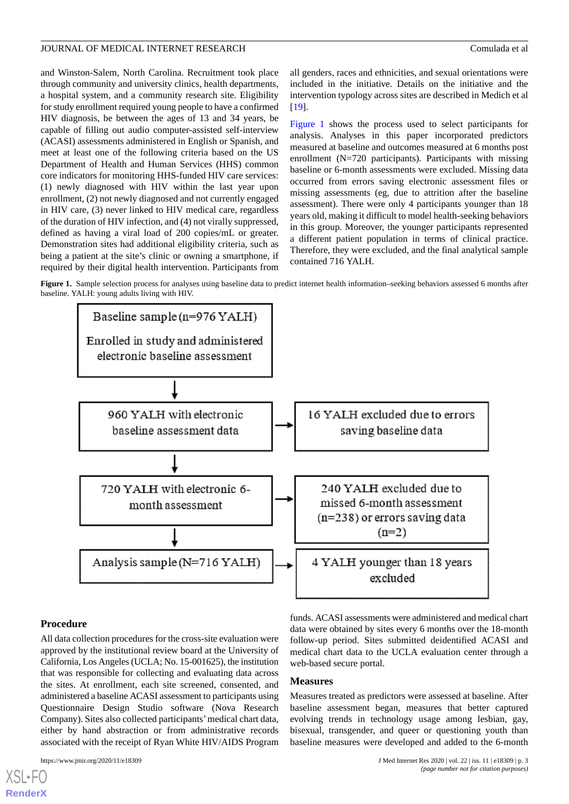and Winston-Salem, North Carolina. Recruitment took place through community and university clinics, health departments, a hospital system, and a community research site. Eligibility for study enrollment required young people to have a confirmed HIV diagnosis, be between the ages of 13 and 34 years, be capable of filling out audio computer-assisted self-interview (ACASI) assessments administered in English or Spanish, and meet at least one of the following criteria based on the US Department of Health and Human Services (HHS) common core indicators for monitoring HHS-funded HIV care services: (1) newly diagnosed with HIV within the last year upon enrollment, (2) not newly diagnosed and not currently engaged in HIV care, (3) never linked to HIV medical care, regardless of the duration of HIV infection, and (4) not virally suppressed, defined as having a viral load of 200 copies/mL or greater. Demonstration sites had additional eligibility criteria, such as being a patient at the site's clinic or owning a smartphone, if required by their digital health intervention. Participants from all genders, races and ethnicities, and sexual orientations were included in the initiative. Details on the initiative and the intervention typology across sites are described in Medich et al [[19\]](#page-13-18).

[Figure 1](#page-4-0) shows the process used to select participants for analysis. Analyses in this paper incorporated predictors measured at baseline and outcomes measured at 6 months post enrollment (N=720 participants). Participants with missing baseline or 6-month assessments were excluded. Missing data occurred from errors saving electronic assessment files or missing assessments (eg, due to attrition after the baseline assessment). There were only 4 participants younger than 18 years old, making it difficult to model health-seeking behaviors in this group. Moreover, the younger participants represented a different patient population in terms of clinical practice. Therefore, they were excluded, and the final analytical sample contained 716 YALH.

<span id="page-4-0"></span>Figure 1. Sample selection process for analyses using baseline data to predict internet health information–seeking behaviors assessed 6 months after baseline. YALH: young adults living with HIV.



#### **Procedure**

All data collection procedures for the cross-site evaluation were approved by the institutional review board at the University of California, Los Angeles (UCLA; No. 15-001625), the institution that was responsible for collecting and evaluating data across the sites. At enrollment, each site screened, consented, and administered a baseline ACASI assessment to participants using Questionnaire Design Studio software (Nova Research Company). Sites also collected participants'medical chart data, either by hand abstraction or from administrative records associated with the receipt of Ryan White HIV/AIDS Program

data were obtained by sites every 6 months over the 18-month follow-up period. Sites submitted deidentified ACASI and medical chart data to the UCLA evaluation center through a web-based secure portal.

funds. ACASI assessments were administered and medical chart

#### **Measures**

Measures treated as predictors were assessed at baseline. After baseline assessment began, measures that better captured evolving trends in technology usage among lesbian, gay, bisexual, transgender, and queer or questioning youth than baseline measures were developed and added to the 6-month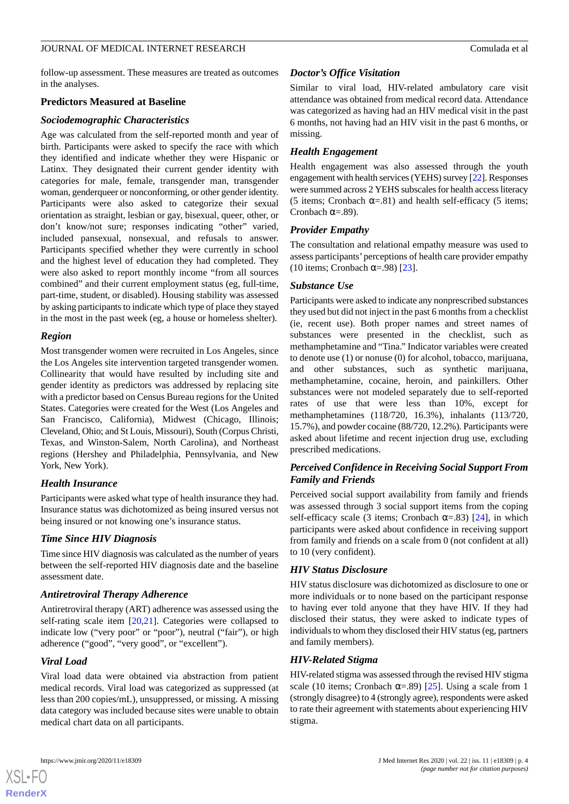follow-up assessment. These measures are treated as outcomes in the analyses.

#### **Predictors Measured at Baseline**

#### *Sociodemographic Characteristics*

Age was calculated from the self-reported month and year of birth. Participants were asked to specify the race with which they identified and indicate whether they were Hispanic or Latinx. They designated their current gender identity with categories for male, female, transgender man, transgender woman, genderqueer or nonconforming, or other gender identity. Participants were also asked to categorize their sexual orientation as straight, lesbian or gay, bisexual, queer, other, or don't know/not sure; responses indicating "other" varied, included pansexual, nonsexual, and refusals to answer. Participants specified whether they were currently in school and the highest level of education they had completed. They were also asked to report monthly income "from all sources combined" and their current employment status (eg, full-time, part-time, student, or disabled). Housing stability was assessed by asking participants to indicate which type of place they stayed in the most in the past week (eg, a house or homeless shelter).

#### *Region*

Most transgender women were recruited in Los Angeles, since the Los Angeles site intervention targeted transgender women. Collinearity that would have resulted by including site and gender identity as predictors was addressed by replacing site with a predictor based on Census Bureau regions for the United States. Categories were created for the West (Los Angeles and San Francisco, California), Midwest (Chicago, Illinois; Cleveland, Ohio; and St Louis, Missouri), South (Corpus Christi, Texas, and Winston-Salem, North Carolina), and Northeast regions (Hershey and Philadelphia, Pennsylvania, and New York, New York).

#### *Health Insurance*

Participants were asked what type of health insurance they had. Insurance status was dichotomized as being insured versus not being insured or not knowing one's insurance status.

#### *Time Since HIV Diagnosis*

Time since HIV diagnosis was calculated as the number of years between the self-reported HIV diagnosis date and the baseline assessment date.

#### *Antiretroviral Therapy Adherence*

Antiretroviral therapy (ART) adherence was assessed using the self-rating scale item [[20](#page-13-19)[,21](#page-14-0)]. Categories were collapsed to indicate low ("very poor" or "poor"), neutral ("fair"), or high adherence ("good", "very good", or "excellent").

#### *Viral Load*

Viral load data were obtained via abstraction from patient medical records. Viral load was categorized as suppressed (at less than 200 copies/mL), unsuppressed, or missing. A missing data category was included because sites were unable to obtain medical chart data on all participants.

#### *Doctor's Office Visitation*

Similar to viral load, HIV-related ambulatory care visit attendance was obtained from medical record data. Attendance was categorized as having had an HIV medical visit in the past 6 months, not having had an HIV visit in the past 6 months, or missing.

#### *Health Engagement*

Health engagement was also assessed through the youth engagement with health services (YEHS) survey [\[22](#page-14-1)]. Responses were summed across 2 YEHS subscales for health access literacy (5 items; Cronbach  $\alpha = .81$ ) and health self-efficacy (5 items; Cronbach  $\alpha = .89$ ).

#### *Provider Empathy*

The consultation and relational empathy measure was used to assess participants'perceptions of health care provider empathy (10 items; Cronbach  $\alpha$ =.98) [\[23](#page-14-2)].

#### *Substance Use*

Participants were asked to indicate any nonprescribed substances they used but did not inject in the past 6 months from a checklist (ie, recent use). Both proper names and street names of substances were presented in the checklist, such as methamphetamine and "Tina." Indicator variables were created to denote use (1) or nonuse (0) for alcohol, tobacco, marijuana, and other substances, such as synthetic marijuana, methamphetamine, cocaine, heroin, and painkillers. Other substances were not modeled separately due to self-reported rates of use that were less than 10%, except for methamphetamines (118/720, 16.3%), inhalants (113/720, 15.7%), and powder cocaine (88/720, 12.2%). Participants were asked about lifetime and recent injection drug use, excluding prescribed medications.

# *Perceived Confidence in Receiving Social Support From Family and Friends*

Perceived social support availability from family and friends was assessed through 3 social support items from the coping self-efficacy scale (3 items; Cronbach  $\alpha$ =.83) [[24\]](#page-14-3), in which participants were asked about confidence in receiving support from family and friends on a scale from 0 (not confident at all) to 10 (very confident).

#### *HIV Status Disclosure*

HIV status disclosure was dichotomized as disclosure to one or more individuals or to none based on the participant response to having ever told anyone that they have HIV. If they had disclosed their status, they were asked to indicate types of individuals to whom they disclosed their HIV status (eg, partners and family members).

#### *HIV-Related Stigma*

HIV-related stigma was assessed through the revised HIV stigma scale (10 items; Cronbach  $\alpha = .89$ ) [[25\]](#page-14-4). Using a scale from 1 (strongly disagree) to 4 (strongly agree), respondents were asked to rate their agreement with statements about experiencing HIV stigma.

```
XSL•FO
RenderX
```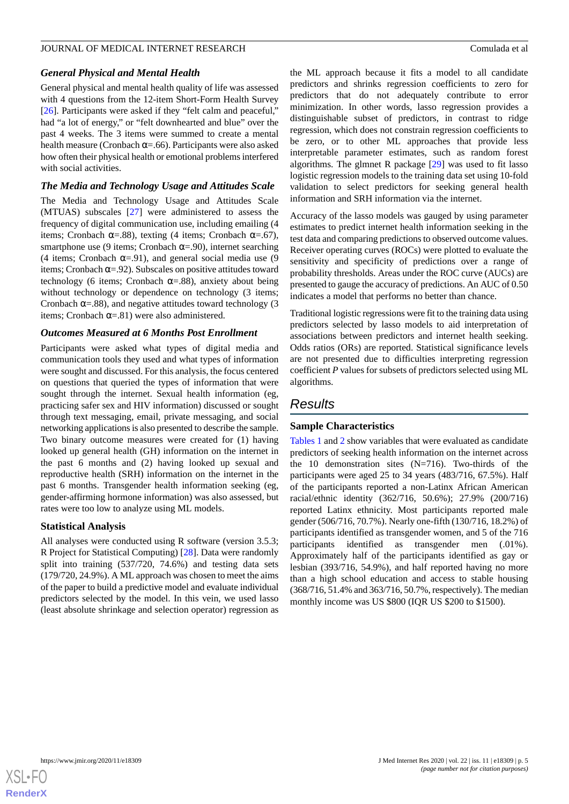#### *General Physical and Mental Health*

General physical and mental health quality of life was assessed with 4 questions from the 12-item Short-Form Health Survey [[26\]](#page-14-5). Participants were asked if they "felt calm and peaceful," had "a lot of energy," or "felt downhearted and blue" over the past 4 weeks. The 3 items were summed to create a mental health measure (Cronbach  $\alpha = 66$ ). Participants were also asked how often their physical health or emotional problems interfered with social activities.

# *The Media and Technology Usage and Attitudes Scale*

The Media and Technology Usage and Attitudes Scale (MTUAS) subscales [[27\]](#page-14-6) were administered to assess the frequency of digital communication use, including emailing (4 items; Cronbach  $\alpha = .88$ ), texting (4 items; Cronbach  $\alpha = .67$ ), smartphone use (9 items; Cronbach  $\alpha$ =.90), internet searching (4 items; Cronbach  $\alpha = .91$ ), and general social media use (9) items; Cronbach  $\alpha = 92$ ). Subscales on positive attitudes toward technology (6 items; Cronbach  $\alpha$ =.88), anxiety about being without technology or dependence on technology (3 items; Cronbach  $\alpha$ =.88), and negative attitudes toward technology (3 items; Cronbach  $\alpha = 81$ ) were also administered.

### *Outcomes Measured at 6 Months Post Enrollment*

Participants were asked what types of digital media and communication tools they used and what types of information were sought and discussed. For this analysis, the focus centered on questions that queried the types of information that were sought through the internet. Sexual health information (eg, practicing safer sex and HIV information) discussed or sought through text messaging, email, private messaging, and social networking applications is also presented to describe the sample. Two binary outcome measures were created for (1) having looked up general health (GH) information on the internet in the past 6 months and (2) having looked up sexual and reproductive health (SRH) information on the internet in the past 6 months. Transgender health information seeking (eg, gender-affirming hormone information) was also assessed, but rates were too low to analyze using ML models.

#### **Statistical Analysis**

All analyses were conducted using R software (version 3.5.3; R Project for Statistical Computing) [\[28](#page-14-7)]. Data were randomly split into training (537/720, 74.6%) and testing data sets (179/720, 24.9%). A ML approach was chosen to meet the aims of the paper to build a predictive model and evaluate individual predictors selected by the model. In this vein, we used lasso (least absolute shrinkage and selection operator) regression as

the ML approach because it fits a model to all candidate predictors and shrinks regression coefficients to zero for predictors that do not adequately contribute to error minimization. In other words, lasso regression provides a distinguishable subset of predictors, in contrast to ridge regression, which does not constrain regression coefficients to be zero, or to other ML approaches that provide less interpretable parameter estimates, such as random forest algorithms. The glmnet R package [\[29](#page-14-8)] was used to fit lasso logistic regression models to the training data set using 10-fold

Accuracy of the lasso models was gauged by using parameter estimates to predict internet health information seeking in the test data and comparing predictions to observed outcome values. Receiver operating curves (ROCs) were plotted to evaluate the sensitivity and specificity of predictions over a range of probability thresholds. Areas under the ROC curve (AUCs) are presented to gauge the accuracy of predictions. An AUC of 0.50 indicates a model that performs no better than chance.

validation to select predictors for seeking general health

information and SRH information via the internet.

Traditional logistic regressions were fit to the training data using predictors selected by lasso models to aid interpretation of associations between predictors and internet health seeking. Odds ratios (ORs) are reported. Statistical significance levels are not presented due to difficulties interpreting regression coefficient *P* values for subsets of predictors selected using ML algorithms.

# *Results*

# **Sample Characteristics**

[Tables 1](#page-7-0) and [2](#page-9-0) show variables that were evaluated as candidate predictors of seeking health information on the internet across the 10 demonstration sites  $(N=716)$ . Two-thirds of the participants were aged 25 to 34 years (483/716, 67.5%). Half of the participants reported a non-Latinx African American racial/ethnic identity (362/716, 50.6%); 27.9% (200/716) reported Latinx ethnicity. Most participants reported male gender (506/716, 70.7%). Nearly one-fifth (130/716, 18.2%) of participants identified as transgender women, and 5 of the 716 participants identified as transgender men (.01%). Approximately half of the participants identified as gay or lesbian (393/716, 54.9%), and half reported having no more than a high school education and access to stable housing (368/716, 51.4% and 363/716, 50.7%, respectively). The median monthly income was US \$800 (IQR US \$200 to \$1500).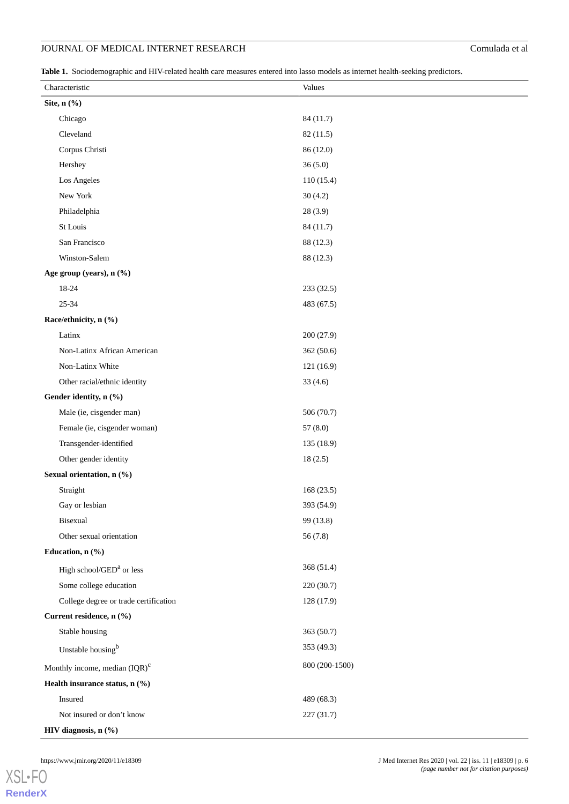<span id="page-7-0"></span>**Table 1.** Sociodemographic and HIV-related health care measures entered into lasso models as internet health-seeking predictors.

| Characteristic                            | Values         |
|-------------------------------------------|----------------|
| Site, $n$ $(\%)$                          |                |
| Chicago                                   | 84 (11.7)      |
| Cleveland                                 | 82 (11.5)      |
| Corpus Christi                            | 86 (12.0)      |
| Hershey                                   | 36(5.0)        |
| Los Angeles                               | 110(15.4)      |
| New York                                  | 30(4.2)        |
| Philadelphia                              | 28(3.9)        |
| St Louis                                  | 84 (11.7)      |
| San Francisco                             | 88 (12.3)      |
| Winston-Salem                             | 88 (12.3)      |
| Age group (years), n (%)                  |                |
| 18-24                                     | 233 (32.5)     |
| 25-34                                     | 483 (67.5)     |
| Race/ethnicity, n (%)                     |                |
| Latinx                                    | 200 (27.9)     |
| Non-Latinx African American               | 362 (50.6)     |
| Non-Latinx White                          | 121 (16.9)     |
| Other racial/ethnic identity              | 33(4.6)        |
| Gender identity, n (%)                    |                |
| Male (ie, cisgender man)                  | 506 (70.7)     |
| Female (ie, cisgender woman)              | 57(8.0)        |
| Transgender-identified                    | 135 (18.9)     |
| Other gender identity                     | 18(2.5)        |
| Sexual orientation, n (%)                 |                |
| Straight                                  | 168 (23.5)     |
| Gay or lesbian                            | 393 (54.9)     |
| Bisexual                                  | 99 (13.8)      |
| Other sexual orientation                  | 56(7.8)        |
| Education, n (%)                          |                |
| High school/ $GEDa$ or less               | 368 (51.4)     |
| Some college education                    | 220 (30.7)     |
| College degree or trade certification     | 128 (17.9)     |
| Current residence, n (%)                  |                |
| Stable housing                            | 363 (50.7)     |
| Unstable housing <sup>b</sup>             | 353 (49.3)     |
| Monthly income, median (IQR) <sup>c</sup> | 800 (200-1500) |
| Health insurance status, n (%)            |                |
| Insured                                   | 489 (68.3)     |
| Not insured or don't know                 | 227 (31.7)     |
| HIV diagnosis, n (%)                      |                |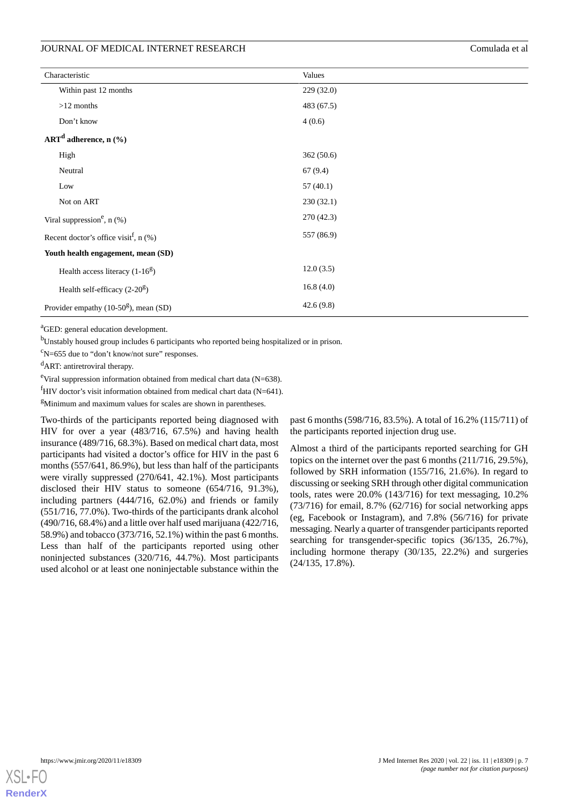| Characteristic                                      | Values     |
|-----------------------------------------------------|------------|
| Within past 12 months                               | 229(32.0)  |
| $>12$ months                                        | 483 (67.5) |
| Don't know                                          | 4(0.6)     |
| $ART^d$ adherence, n $(\%)$                         |            |
| High                                                | 362(50.6)  |
| Neutral                                             | 67(9.4)    |
| Low                                                 | 57(40.1)   |
| Not on ART                                          | 230(32.1)  |
| Viral suppression <sup>e</sup> , $n$ (%)            | 270(42.3)  |
| Recent doctor's office visit <sup>f</sup> , $n$ (%) | 557 (86.9) |
| Youth health engagement, mean (SD)                  |            |
| Health access literacy $(1-16^g)$                   | 12.0(3.5)  |
| Health self-efficacy $(2-20^8)$                     | 16.8(4.0)  |
| Provider empathy $(10-50g)$ , mean (SD)             | 42.6(9.8)  |

<sup>a</sup>GED: general education development.

<sup>b</sup>Unstably housed group includes 6 participants who reported being hospitalized or in prison.

 $\textdegree$ N=655 due to "don't know/not sure" responses.

<sup>d</sup>ART: antiretroviral therapy.

<sup>e</sup>Viral suppression information obtained from medical chart data (N=638).

 ${}^f$ HIV doctor's visit information obtained from medical chart data (N=641).

<sup>g</sup>Minimum and maximum values for scales are shown in parentheses.

Two-thirds of the participants reported being diagnosed with HIV for over a year (483/716, 67.5%) and having health insurance (489/716, 68.3%). Based on medical chart data, most participants had visited a doctor's office for HIV in the past 6 months (557/641, 86.9%), but less than half of the participants were virally suppressed (270/641, 42.1%). Most participants disclosed their HIV status to someone (654/716, 91.3%), including partners (444/716, 62.0%) and friends or family (551/716, 77.0%). Two-thirds of the participants drank alcohol (490/716, 68.4%) and a little over half used marijuana (422/716, 58.9%) and tobacco (373/716, 52.1%) within the past 6 months. Less than half of the participants reported using other noninjected substances (320/716, 44.7%). Most participants used alcohol or at least one noninjectable substance within the

past 6 months (598/716, 83.5%). A total of 16.2% (115/711) of the participants reported injection drug use.

Almost a third of the participants reported searching for GH topics on the internet over the past 6 months (211/716, 29.5%), followed by SRH information (155/716, 21.6%). In regard to discussing or seeking SRH through other digital communication tools, rates were 20.0% (143/716) for text messaging, 10.2% (73/716) for email, 8.7% (62/716) for social networking apps (eg, Facebook or Instagram), and 7.8% (56/716) for private messaging. Nearly a quarter of transgender participants reported searching for transgender-specific topics (36/135, 26.7%), including hormone therapy (30/135, 22.2%) and surgeries (24/135, 17.8%).

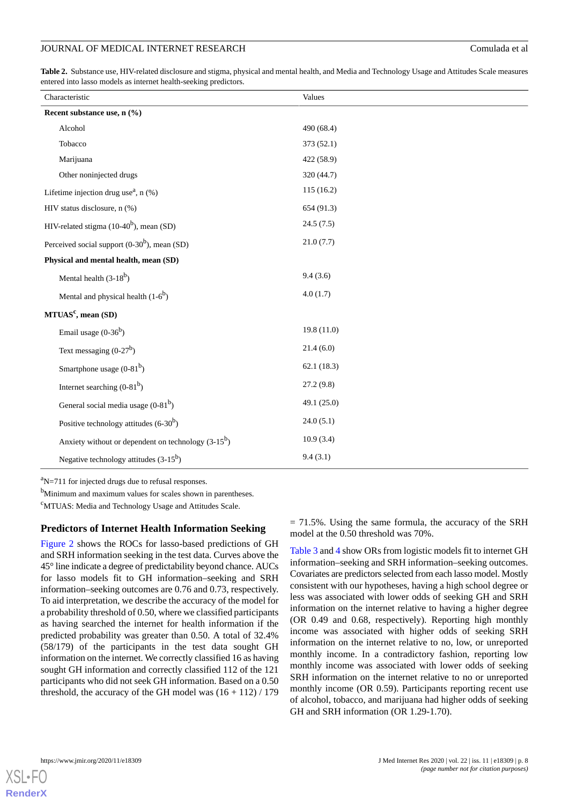<span id="page-9-0"></span>**Table 2.** Substance use, HIV-related disclosure and stigma, physical and mental health, and Media and Technology Usage and Attitudes Scale measures entered into lasso models as internet health-seeking predictors.

| Characteristic                                                    | Values      |
|-------------------------------------------------------------------|-------------|
| Recent substance use, n (%)                                       |             |
| Alcohol                                                           | 490 (68.4)  |
| Tobacco                                                           | 373 (52.1)  |
| Marijuana                                                         | 422 (58.9)  |
| Other noninjected drugs                                           | 320(44.7)   |
| Lifetime injection drug use <sup><math>a</math></sup> , n $(\% )$ | 115(16.2)   |
| HIV status disclosure, n (%)                                      | 654 (91.3)  |
| HIV-related stigma $(10-40b)$ , mean (SD)                         | 24.5(7.5)   |
| Perceived social support $(0-30b)$ , mean (SD)                    | 21.0(7.7)   |
| Physical and mental health, mean (SD)                             |             |
| Mental health $(3-18^b)$                                          | 9.4(3.6)    |
| Mental and physical health $(1-6^b)$                              | 4.0(1.7)    |
| MTUAS <sup>c</sup> , mean (SD)                                    |             |
| Email usage $(0-36^b)$                                            | 19.8(11.0)  |
| Text messaging $(0-27^b)$                                         | 21.4(6.0)   |
| Smartphone usage $(0-81b)$                                        | 62.1(18.3)  |
| Internet searching $(0-81b)$                                      | 27.2(9.8)   |
| General social media usage $(0-81b)$                              | 49.1 (25.0) |
| Positive technology attitudes $(6-30b)$                           | 24.0(5.1)   |
| Anxiety without or dependent on technology $(3-15^b)$             | 10.9(3.4)   |
| Negative technology attitudes $(3-15^b)$                          | 9.4(3.1)    |

 $a$ N=711 for injected drugs due to refusal responses.

bMinimum and maximum values for scales shown in parentheses.

<sup>c</sup>MTUAS: Media and Technology Usage and Attitudes Scale.

# **Predictors of Internet Health Information Seeking**

[Figure 2](#page-10-0) shows the ROCs for lasso-based predictions of GH and SRH information seeking in the test data. Curves above the 45° line indicate a degree of predictability beyond chance. AUCs for lasso models fit to GH information–seeking and SRH information–seeking outcomes are 0.76 and 0.73, respectively. To aid interpretation, we describe the accuracy of the model for a probability threshold of 0.50, where we classified participants as having searched the internet for health information if the predicted probability was greater than 0.50. A total of 32.4% (58/179) of the participants in the test data sought GH information on the internet. We correctly classified 16 as having sought GH information and correctly classified 112 of the 121 participants who did not seek GH information. Based on a 0.50 threshold, the accuracy of the GH model was  $(16 + 112) / 179$ 

 $= 71.5\%$ . Using the same formula, the accuracy of the SRH model at the 0.50 threshold was 70%.

[Table 3](#page-10-1) and [4](#page-11-0) show ORs from logistic models fit to internet GH information–seeking and SRH information–seeking outcomes. Covariates are predictors selected from each lasso model. Mostly consistent with our hypotheses, having a high school degree or less was associated with lower odds of seeking GH and SRH information on the internet relative to having a higher degree (OR 0.49 and 0.68, respectively). Reporting high monthly income was associated with higher odds of seeking SRH information on the internet relative to no, low, or unreported monthly income. In a contradictory fashion, reporting low monthly income was associated with lower odds of seeking SRH information on the internet relative to no or unreported monthly income (OR 0.59). Participants reporting recent use of alcohol, tobacco, and marijuana had higher odds of seeking GH and SRH information (OR 1.29-1.70).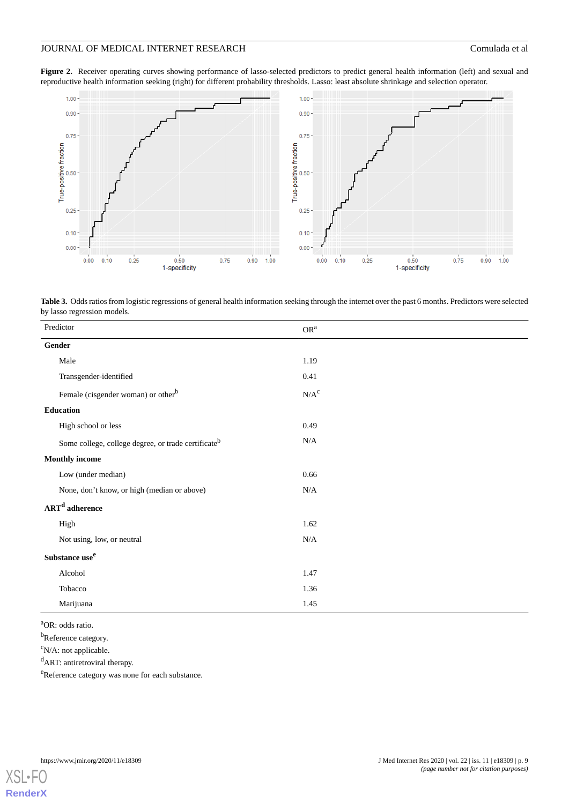# JOURNAL OF MEDICAL INTERNET RESEARCH COMULAGE COMULAGE AT A COMULAGE AT A COMULAGE AT A COMULAGE AT A COMULAGE AT A COMULAGE AT A COMULAGE AT A COMULAGE AT A COMULAGE AT A COMULAGE AT A COMULAGE AT A COMULAGE AT A COMULAGE

<span id="page-10-0"></span>Figure 2. Receiver operating curves showing performance of lasso-selected predictors to predict general health information (left) and sexual and reproductive health information seeking (right) for different probability thresholds. Lasso: least absolute shrinkage and selection operator.



<span id="page-10-1"></span>Table 3. Odds ratios from logistic regressions of general health information seeking through the internet over the past 6 months. Predictors were selected by lasso regression models.

| Predictor                                                       | OR <sup>a</sup> |
|-----------------------------------------------------------------|-----------------|
| Gender                                                          |                 |
| Male                                                            | 1.19            |
| Transgender-identified                                          | 0.41            |
| Female (cisgender woman) or other <sup>b</sup>                  | $N/A^c$         |
| <b>Education</b>                                                |                 |
| High school or less                                             | 0.49            |
| Some college, college degree, or trade certificate <sup>b</sup> | N/A             |
| <b>Monthly income</b>                                           |                 |
| Low (under median)                                              | 0.66            |
| None, don't know, or high (median or above)                     | N/A             |
| $ARTd$ adherence                                                |                 |
| High                                                            | 1.62            |
| Not using, low, or neutral                                      | N/A             |
| Substance use <sup>e</sup>                                      |                 |
| Alcohol                                                         | 1.47            |
| Tobacco                                                         | 1.36            |
| Marijuana                                                       | 1.45            |

<sup>a</sup>OR: odds ratio.

b<sub>Reference category.</sub>

<sup>c</sup>N/A: not applicable.

<sup>d</sup>ART: antiretroviral therapy.

<sup>e</sup>Reference category was none for each substance.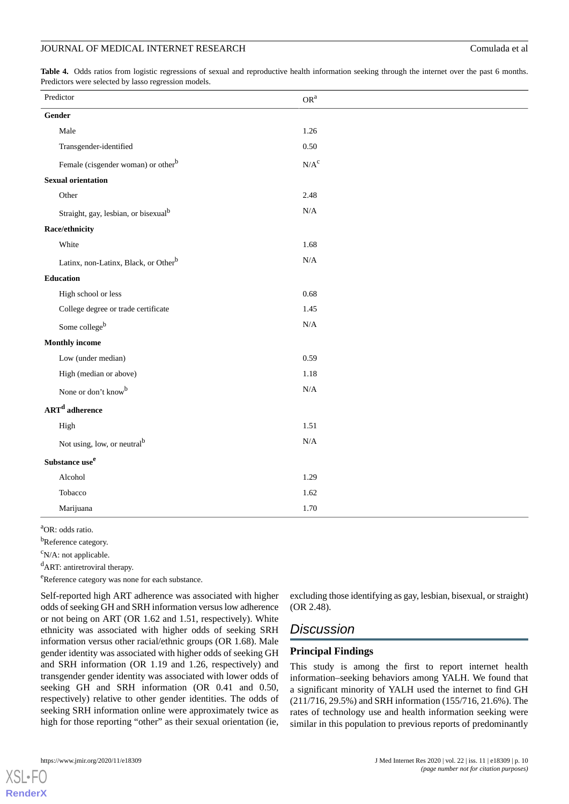<span id="page-11-0"></span>**Table 4.** Odds ratios from logistic regressions of sexual and reproductive health information seeking through the internet over the past 6 months. Predictors were selected by lasso regression models.

| Predictor                                        | OR <sup>a</sup>  |
|--------------------------------------------------|------------------|
| Gender                                           |                  |
| Male                                             | 1.26             |
| Transgender-identified                           | 0.50             |
| Female (cisgender woman) or other <sup>b</sup>   | N/A <sup>c</sup> |
| <b>Sexual orientation</b>                        |                  |
| Other                                            | 2.48             |
| Straight, gay, lesbian, or bisexual <sup>b</sup> | N/A              |
| Race/ethnicity                                   |                  |
| White                                            | 1.68             |
| Latinx, non-Latinx, Black, or Other <sup>b</sup> | $\rm N/A$        |
| <b>Education</b>                                 |                  |
| High school or less                              | 0.68             |
| College degree or trade certificate              | 1.45             |
| Some college <sup>b</sup>                        | N/A              |
| <b>Monthly income</b>                            |                  |
| Low (under median)                               | 0.59             |
| High (median or above)                           | 1.18             |
| None or don't know <sup>b</sup>                  | $\rm N/A$        |
| $ARTd$ adherence                                 |                  |
| High                                             | 1.51             |
| Not using, low, or neutral <sup>b</sup>          | $\rm N/A$        |
| Substance use <sup>e</sup>                       |                  |
| Alcohol                                          | 1.29             |
| Tobacco                                          | 1.62             |
| Marijuana                                        | 1.70             |

<sup>a</sup>OR: odds ratio.

b<sub>Reference category.</sub>

 $\rm^c$ N/A: not applicable.

<sup>d</sup>ART: antiretroviral therapy.

<sup>e</sup>Reference category was none for each substance.

Self-reported high ART adherence was associated with higher odds of seeking GH and SRH information versus low adherence or not being on ART (OR 1.62 and 1.51, respectively). White ethnicity was associated with higher odds of seeking SRH information versus other racial/ethnic groups (OR 1.68). Male gender identity was associated with higher odds of seeking GH and SRH information (OR 1.19 and 1.26, respectively) and transgender gender identity was associated with lower odds of seeking GH and SRH information (OR 0.41 and 0.50, respectively) relative to other gender identities. The odds of seeking SRH information online were approximately twice as high for those reporting "other" as their sexual orientation (ie,

excluding those identifying as gay, lesbian, bisexual, or straight) (OR 2.48).

# *Discussion*

## **Principal Findings**

This study is among the first to report internet health information–seeking behaviors among YALH. We found that a significant minority of YALH used the internet to find GH (211/716, 29.5%) and SRH information (155/716, 21.6%). The rates of technology use and health information seeking were similar in this population to previous reports of predominantly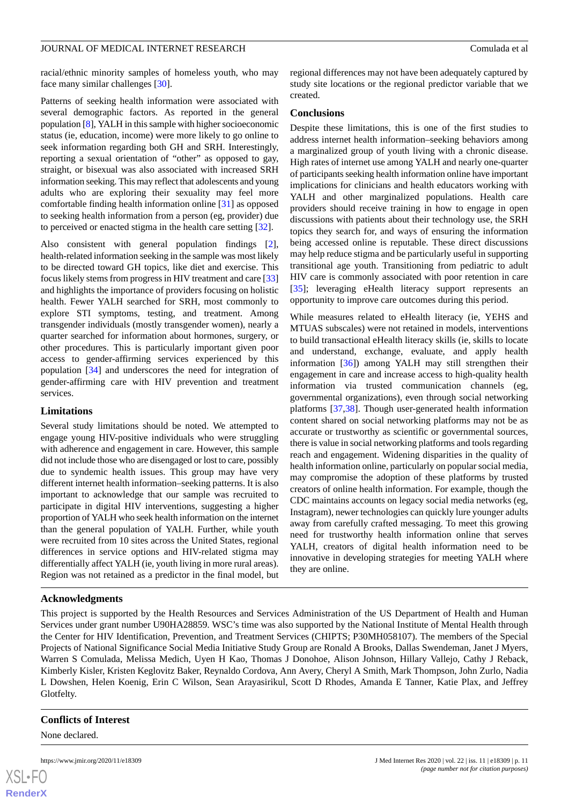racial/ethnic minority samples of homeless youth, who may face many similar challenges [\[30](#page-14-9)].

Patterns of seeking health information were associated with several demographic factors. As reported in the general population [[8\]](#page-13-7), YALH in this sample with higher socioeconomic status (ie, education, income) were more likely to go online to seek information regarding both GH and SRH. Interestingly, reporting a sexual orientation of "other" as opposed to gay, straight, or bisexual was also associated with increased SRH information seeking. This may reflect that adolescents and young adults who are exploring their sexuality may feel more comfortable finding health information online [[31\]](#page-14-10) as opposed to seeking health information from a person (eg, provider) due to perceived or enacted stigma in the health care setting [\[32](#page-14-11)].

Also consistent with general population findings [[2\]](#page-13-1), health-related information seeking in the sample was most likely to be directed toward GH topics, like diet and exercise. This focus likely stems from progress in HIV treatment and care [\[33](#page-14-12)] and highlights the importance of providers focusing on holistic health. Fewer YALH searched for SRH, most commonly to explore STI symptoms, testing, and treatment. Among transgender individuals (mostly transgender women), nearly a quarter searched for information about hormones, surgery, or other procedures. This is particularly important given poor access to gender-affirming services experienced by this population [[34\]](#page-14-13) and underscores the need for integration of gender-affirming care with HIV prevention and treatment services.

#### **Limitations**

Several study limitations should be noted. We attempted to engage young HIV-positive individuals who were struggling with adherence and engagement in care. However, this sample did not include those who are disengaged or lost to care, possibly due to syndemic health issues. This group may have very different internet health information–seeking patterns. It is also important to acknowledge that our sample was recruited to participate in digital HIV interventions, suggesting a higher proportion of YALH who seek health information on the internet than the general population of YALH. Further, while youth were recruited from 10 sites across the United States, regional differences in service options and HIV-related stigma may differentially affect YALH (ie, youth living in more rural areas). Region was not retained as a predictor in the final model, but

regional differences may not have been adequately captured by study site locations or the regional predictor variable that we created.

#### **Conclusions**

Despite these limitations, this is one of the first studies to address internet health information–seeking behaviors among a marginalized group of youth living with a chronic disease. High rates of internet use among YALH and nearly one-quarter of participants seeking health information online have important implications for clinicians and health educators working with YALH and other marginalized populations. Health care providers should receive training in how to engage in open discussions with patients about their technology use, the SRH topics they search for, and ways of ensuring the information being accessed online is reputable. These direct discussions may help reduce stigma and be particularly useful in supporting transitional age youth. Transitioning from pediatric to adult HIV care is commonly associated with poor retention in care [[35\]](#page-14-14); leveraging eHealth literacy support represents an opportunity to improve care outcomes during this period.

While measures related to eHealth literacy (ie, YEHS and MTUAS subscales) were not retained in models, interventions to build transactional eHealth literacy skills (ie, skills to locate and understand, exchange, evaluate, and apply health information [\[36](#page-14-15)]) among YALH may still strengthen their engagement in care and increase access to high-quality health information via trusted communication channels (eg, governmental organizations), even through social networking platforms [[37](#page-14-16)[,38](#page-14-17)]. Though user-generated health information content shared on social networking platforms may not be as accurate or trustworthy as scientific or governmental sources, there is value in social networking platforms and tools regarding reach and engagement. Widening disparities in the quality of health information online, particularly on popular social media, may compromise the adoption of these platforms by trusted creators of online health information. For example, though the CDC maintains accounts on legacy social media networks (eg, Instagram), newer technologies can quickly lure younger adults away from carefully crafted messaging. To meet this growing need for trustworthy health information online that serves YALH, creators of digital health information need to be innovative in developing strategies for meeting YALH where they are online.

#### **Acknowledgments**

This project is supported by the Health Resources and Services Administration of the US Department of Health and Human Services under grant number U90HA28859. WSC's time was also supported by the National Institute of Mental Health through the Center for HIV Identification, Prevention, and Treatment Services (CHIPTS; P30MH058107). The members of the Special Projects of National Significance Social Media Initiative Study Group are Ronald A Brooks, Dallas Swendeman, Janet J Myers, Warren S Comulada, Melissa Medich, Uyen H Kao, Thomas J Donohoe, Alison Johnson, Hillary Vallejo, Cathy J Reback, Kimberly Kisler, Kristen Keglovitz Baker, Reynaldo Cordova, Ann Avery, Cheryl A Smith, Mark Thompson, John Zurlo, Nadia L Dowshen, Helen Koenig, Erin C Wilson, Sean Arayasirikul, Scott D Rhodes, Amanda E Tanner, Katie Plax, and Jeffrey Glotfelty.

# **Conflicts of Interest**

None declared.

```
XS • FO
RenderX
```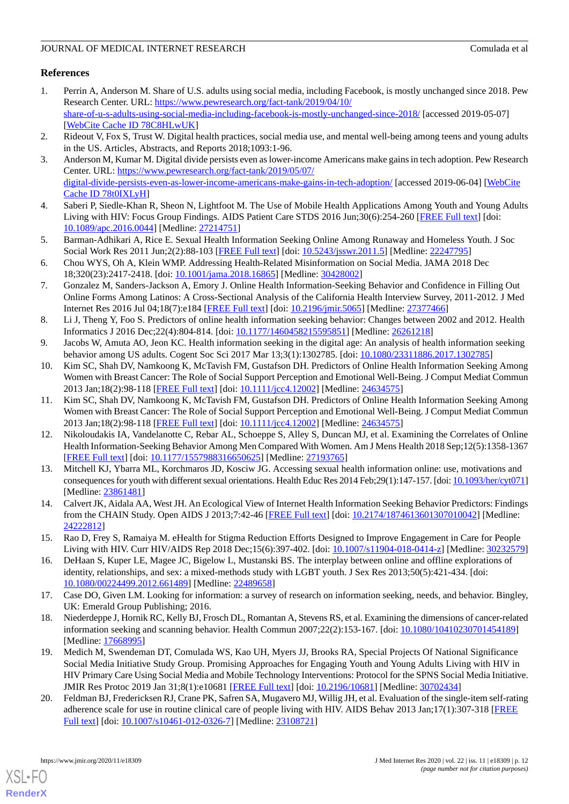# <span id="page-13-0"></span>**References**

- 1. Perrin A, Anderson M. Share of U.S. adults using social media, including Facebook, is mostly unchanged since 2018. Pew Research Center. URL: [https://www.pewresearch.org/fact-tank/2019/04/10/](https://www.pewresearch.org/fact-tank/2019/04/10/share-of-u-s-adults-using-social-media-including-facebook-is-mostly-unchanged-since-2018/) [share-of-u-s-adults-using-social-media-including-facebook-is-mostly-unchanged-since-2018/](https://www.pewresearch.org/fact-tank/2019/04/10/share-of-u-s-adults-using-social-media-including-facebook-is-mostly-unchanged-since-2018/) [accessed 2019-05-07] [[WebCite Cache ID 78C8HLwUK](http://www.webcitation.org/

                                            78C8HLwUK)]
- <span id="page-13-2"></span><span id="page-13-1"></span>2. Rideout V, Fox S, Trust W. Digital health practices, social media use, and mental well-being among teens and young adults in the US. Articles, Abstracts, and Reports 2018;1093:1-96.
- 3. Anderson M, Kumar M. Digital divide persists even as lower-income Americans make gains in tech adoption. Pew Research Center. URL: [https://www.pewresearch.org/fact-tank/2019/05/07/](https://www.pewresearch.org/fact-tank/2019/05/07/digital-divide-persists-even-as-lower-income-americans-make-gains-in-tech-adoption/) [digital-divide-persists-even-as-lower-income-americans-make-gains-in-tech-adoption/](https://www.pewresearch.org/fact-tank/2019/05/07/digital-divide-persists-even-as-lower-income-americans-make-gains-in-tech-adoption/) [accessed 2019-06-04] [[WebCite](http://www.webcitation.org/

                                            78t0IXLyH) [Cache ID 78t0IXLyH](http://www.webcitation.org/

                                            78t0IXLyH)]
- <span id="page-13-4"></span><span id="page-13-3"></span>4. Saberi P, Siedle-Khan R, Sheon N, Lightfoot M. The Use of Mobile Health Applications Among Youth and Young Adults Living with HIV: Focus Group Findings. AIDS Patient Care STDS 2016 Jun:30(6):254-260 [\[FREE Full text\]](http://europepmc.org/abstract/MED/27214751) [doi: [10.1089/apc.2016.0044\]](http://dx.doi.org/10.1089/apc.2016.0044) [Medline: [27214751](http://www.ncbi.nlm.nih.gov/entrez/query.fcgi?cmd=Retrieve&db=PubMed&list_uids=27214751&dopt=Abstract)]
- <span id="page-13-5"></span>5. Barman-Adhikari A, Rice E. Sexual Health Information Seeking Online Among Runaway and Homeless Youth. J Soc Social Work Res 2011 Jun;2(2):88-103 [[FREE Full text](http://europepmc.org/abstract/MED/22247795)] [doi: [10.5243/jsswr.2011.5](http://dx.doi.org/10.5243/jsswr.2011.5)] [Medline: [22247795](http://www.ncbi.nlm.nih.gov/entrez/query.fcgi?cmd=Retrieve&db=PubMed&list_uids=22247795&dopt=Abstract)]
- <span id="page-13-6"></span>6. Chou WYS, Oh A, Klein WMP. Addressing Health-Related Misinformation on Social Media. JAMA 2018 Dec 18;320(23):2417-2418. [doi: [10.1001/jama.2018.16865](http://dx.doi.org/10.1001/jama.2018.16865)] [Medline: [30428002\]](http://www.ncbi.nlm.nih.gov/entrez/query.fcgi?cmd=Retrieve&db=PubMed&list_uids=30428002&dopt=Abstract)
- <span id="page-13-7"></span>7. Gonzalez M, Sanders-Jackson A, Emory J. Online Health Information-Seeking Behavior and Confidence in Filling Out Online Forms Among Latinos: A Cross-Sectional Analysis of the California Health Interview Survey, 2011-2012. J Med Internet Res 2016 Jul 04;18(7):e184 [[FREE Full text](http://www.jmir.org/2016/7/e184/)] [doi: [10.2196/jmir.5065](http://dx.doi.org/10.2196/jmir.5065)] [Medline: [27377466](http://www.ncbi.nlm.nih.gov/entrez/query.fcgi?cmd=Retrieve&db=PubMed&list_uids=27377466&dopt=Abstract)]
- <span id="page-13-9"></span><span id="page-13-8"></span>8. Li J, Theng Y, Foo S. Predictors of online health information seeking behavior: Changes between 2002 and 2012. Health Informatics J 2016 Dec;22(4):804-814. [doi: [10.1177/1460458215595851](http://dx.doi.org/10.1177/1460458215595851)] [Medline: [26261218](http://www.ncbi.nlm.nih.gov/entrez/query.fcgi?cmd=Retrieve&db=PubMed&list_uids=26261218&dopt=Abstract)]
- 9. Jacobs W, Amuta AO, Jeon KC. Health information seeking in the digital age: An analysis of health information seeking behavior among US adults. Cogent Soc Sci 2017 Mar 13;3(1):1302785. [doi: [10.1080/23311886.2017.1302785](http://dx.doi.org/10.1080/23311886.2017.1302785)]
- <span id="page-13-10"></span>10. Kim SC, Shah DV, Namkoong K, McTavish FM, Gustafson DH. Predictors of Online Health Information Seeking Among Women with Breast Cancer: The Role of Social Support Perception and Emotional Well-Being. J Comput Mediat Commun 2013 Jan;18(2):98-118 [[FREE Full text](http://europepmc.org/abstract/MED/24634575)] [doi: [10.1111/jcc4.12002\]](http://dx.doi.org/10.1111/jcc4.12002) [Medline: [24634575\]](http://www.ncbi.nlm.nih.gov/entrez/query.fcgi?cmd=Retrieve&db=PubMed&list_uids=24634575&dopt=Abstract)
- <span id="page-13-11"></span>11. Kim SC, Shah DV, Namkoong K, McTavish FM, Gustafson DH. Predictors of Online Health Information Seeking Among Women with Breast Cancer: The Role of Social Support Perception and Emotional Well-Being. J Comput Mediat Commun 2013 Jan;18(2):98-118 [[FREE Full text](http://europepmc.org/abstract/MED/24634575)] [doi: [10.1111/jcc4.12002\]](http://dx.doi.org/10.1111/jcc4.12002) [Medline: [24634575\]](http://www.ncbi.nlm.nih.gov/entrez/query.fcgi?cmd=Retrieve&db=PubMed&list_uids=24634575&dopt=Abstract)
- <span id="page-13-12"></span>12. Nikoloudakis IA, Vandelanotte C, Rebar AL, Schoeppe S, Alley S, Duncan MJ, et al. Examining the Correlates of Online Health Information-Seeking Behavior Among Men Compared With Women. Am J Mens Health 2018 Sep;12(5):1358-1367 [[FREE Full text](http://europepmc.org/abstract/MED/27193765)] [doi: [10.1177/1557988316650625\]](http://dx.doi.org/10.1177/1557988316650625) [Medline: [27193765](http://www.ncbi.nlm.nih.gov/entrez/query.fcgi?cmd=Retrieve&db=PubMed&list_uids=27193765&dopt=Abstract)]
- <span id="page-13-14"></span><span id="page-13-13"></span>13. Mitchell KJ, Ybarra ML, Korchmaros JD, Kosciw JG. Accessing sexual health information online: use, motivations and consequences for youth with different sexual orientations. Health Educ Res 2014 Feb;29(1):147-157. [doi: [10.1093/her/cyt071\]](http://dx.doi.org/10.1093/her/cyt071) [Medline: [23861481](http://www.ncbi.nlm.nih.gov/entrez/query.fcgi?cmd=Retrieve&db=PubMed&list_uids=23861481&dopt=Abstract)]
- <span id="page-13-15"></span>14. Calvert JK, Aidala AA, West JH. An Ecological View of Internet Health Information Seeking Behavior Predictors: Findings from the CHAIN Study. Open AIDS J 2013;7:42-46 [\[FREE Full text\]](http://europepmc.org/abstract/MED/24222812) [doi: [10.2174/1874613601307010042](http://dx.doi.org/10.2174/1874613601307010042)] [Medline: [24222812](http://www.ncbi.nlm.nih.gov/entrez/query.fcgi?cmd=Retrieve&db=PubMed&list_uids=24222812&dopt=Abstract)]
- <span id="page-13-16"></span>15. Rao D, Frey S, Ramaiya M. eHealth for Stigma Reduction Efforts Designed to Improve Engagement in Care for People Living with HIV. Curr HIV/AIDS Rep 2018 Dec;15(6):397-402. [doi: [10.1007/s11904-018-0414-z\]](http://dx.doi.org/10.1007/s11904-018-0414-z) [Medline: [30232579](http://www.ncbi.nlm.nih.gov/entrez/query.fcgi?cmd=Retrieve&db=PubMed&list_uids=30232579&dopt=Abstract)]
- <span id="page-13-17"></span>16. DeHaan S, Kuper LE, Magee JC, Bigelow L, Mustanski BS. The interplay between online and offline explorations of identity, relationships, and sex: a mixed-methods study with LGBT youth. J Sex Res 2013;50(5):421-434. [doi: [10.1080/00224499.2012.661489\]](http://dx.doi.org/10.1080/00224499.2012.661489) [Medline: [22489658\]](http://www.ncbi.nlm.nih.gov/entrez/query.fcgi?cmd=Retrieve&db=PubMed&list_uids=22489658&dopt=Abstract)
- <span id="page-13-18"></span>17. Case DO, Given LM. Looking for information: a survey of research on information seeking, needs, and behavior. Bingley, UK: Emerald Group Publishing; 2016.
- <span id="page-13-19"></span>18. Niederdeppe J, Hornik RC, Kelly BJ, Frosch DL, Romantan A, Stevens RS, et al. Examining the dimensions of cancer-related information seeking and scanning behavior. Health Commun 2007;22(2):153-167. [doi: [10.1080/10410230701454189\]](http://dx.doi.org/10.1080/10410230701454189) [Medline: [17668995](http://www.ncbi.nlm.nih.gov/entrez/query.fcgi?cmd=Retrieve&db=PubMed&list_uids=17668995&dopt=Abstract)]
- 19. Medich M, Swendeman DT, Comulada WS, Kao UH, Myers JJ, Brooks RA, Special Projects Of National Significance Social Media Initiative Study Group. Promising Approaches for Engaging Youth and Young Adults Living with HIV in HIV Primary Care Using Social Media and Mobile Technology Interventions: Protocol for the SPNS Social Media Initiative. JMIR Res Protoc 2019 Jan 31;8(1):e10681 [[FREE Full text](https://www.researchprotocols.org/2019/1/e10681/)] [doi: [10.2196/10681\]](http://dx.doi.org/10.2196/10681) [Medline: [30702434](http://www.ncbi.nlm.nih.gov/entrez/query.fcgi?cmd=Retrieve&db=PubMed&list_uids=30702434&dopt=Abstract)]
- 20. Feldman BJ, Fredericksen RJ, Crane PK, Safren SA, Mugavero MJ, Willig JH, et al. Evaluation of the single-item self-rating adherence scale for use in routine clinical care of people living with HIV. AIDS Behav 2013 Jan;17(1):307-318 [[FREE](http://europepmc.org/abstract/MED/23108721) [Full text\]](http://europepmc.org/abstract/MED/23108721) [doi: [10.1007/s10461-012-0326-7](http://dx.doi.org/10.1007/s10461-012-0326-7)] [Medline: [23108721](http://www.ncbi.nlm.nih.gov/entrez/query.fcgi?cmd=Retrieve&db=PubMed&list_uids=23108721&dopt=Abstract)]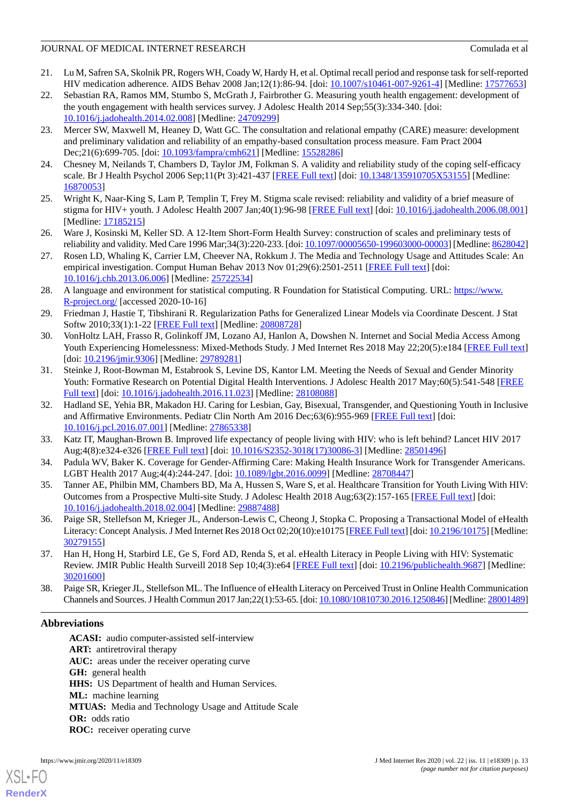- <span id="page-14-0"></span>21. Lu M, Safren SA, Skolnik PR, Rogers WH, Coady W, Hardy H, et al. Optimal recall period and response task for self-reported HIV medication adherence. AIDS Behav 2008 Jan;12(1):86-94. [doi: [10.1007/s10461-007-9261-4\]](http://dx.doi.org/10.1007/s10461-007-9261-4) [Medline: [17577653\]](http://www.ncbi.nlm.nih.gov/entrez/query.fcgi?cmd=Retrieve&db=PubMed&list_uids=17577653&dopt=Abstract)
- <span id="page-14-1"></span>22. Sebastian RA, Ramos MM, Stumbo S, McGrath J, Fairbrother G. Measuring youth health engagement: development of the youth engagement with health services survey. J Adolesc Health 2014 Sep;55(3):334-340. [doi: [10.1016/j.jadohealth.2014.02.008](http://dx.doi.org/10.1016/j.jadohealth.2014.02.008)] [Medline: [24709299](http://www.ncbi.nlm.nih.gov/entrez/query.fcgi?cmd=Retrieve&db=PubMed&list_uids=24709299&dopt=Abstract)]
- <span id="page-14-2"></span>23. Mercer SW, Maxwell M, Heaney D, Watt GC. The consultation and relational empathy (CARE) measure: development and preliminary validation and reliability of an empathy-based consultation process measure. Fam Pract 2004 Dec;21(6):699-705. [doi: [10.1093/fampra/cmh621](http://dx.doi.org/10.1093/fampra/cmh621)] [Medline: [15528286\]](http://www.ncbi.nlm.nih.gov/entrez/query.fcgi?cmd=Retrieve&db=PubMed&list_uids=15528286&dopt=Abstract)
- <span id="page-14-4"></span><span id="page-14-3"></span>24. Chesney M, Neilands T, Chambers D, Taylor JM, Folkman S. A validity and reliability study of the coping self-efficacy scale. Br J Health Psychol 2006 Sep;11(Pt 3):421-437 [\[FREE Full text\]](http://europepmc.org/abstract/MED/16870053) [doi: [10.1348/135910705X53155\]](http://dx.doi.org/10.1348/135910705X53155) [Medline: [16870053](http://www.ncbi.nlm.nih.gov/entrez/query.fcgi?cmd=Retrieve&db=PubMed&list_uids=16870053&dopt=Abstract)]
- <span id="page-14-5"></span>25. Wright K, Naar-King S, Lam P, Templin T, Frey M. Stigma scale revised: reliability and validity of a brief measure of stigma for HIV+ youth. J Adolesc Health 2007 Jan;40(1):96-98 [[FREE Full text\]](http://europepmc.org/abstract/MED/17185215) [doi: [10.1016/j.jadohealth.2006.08.001\]](http://dx.doi.org/10.1016/j.jadohealth.2006.08.001) [Medline: [17185215](http://www.ncbi.nlm.nih.gov/entrez/query.fcgi?cmd=Retrieve&db=PubMed&list_uids=17185215&dopt=Abstract)]
- <span id="page-14-6"></span>26. Ware J, Kosinski M, Keller SD. A 12-Item Short-Form Health Survey: construction of scales and preliminary tests of reliability and validity. Med Care 1996 Mar;34(3):220-233. [doi: [10.1097/00005650-199603000-00003](http://dx.doi.org/10.1097/00005650-199603000-00003)] [Medline: [8628042\]](http://www.ncbi.nlm.nih.gov/entrez/query.fcgi?cmd=Retrieve&db=PubMed&list_uids=8628042&dopt=Abstract)
- <span id="page-14-7"></span>27. Rosen LD, Whaling K, Carrier LM, Cheever NA, Rokkum J. The Media and Technology Usage and Attitudes Scale: An empirical investigation. Comput Human Behav 2013 Nov 01:29(6):2501-2511 [[FREE Full text](http://europepmc.org/abstract/MED/25722534)] [doi: [10.1016/j.chb.2013.06.006\]](http://dx.doi.org/10.1016/j.chb.2013.06.006) [Medline: [25722534](http://www.ncbi.nlm.nih.gov/entrez/query.fcgi?cmd=Retrieve&db=PubMed&list_uids=25722534&dopt=Abstract)]
- <span id="page-14-8"></span>28. A language and environment for statistical computing. R Foundation for Statistical Computing. URL: [https://www.](https://www.R-project.org/) [R-project.org/](https://www.R-project.org/) [accessed 2020-10-16]
- <span id="page-14-9"></span>29. Friedman J, Hastie T, Tibshirani R. Regularization Paths for Generalized Linear Models via Coordinate Descent. J Stat Softw 2010;33(1):1-22 [\[FREE Full text\]](http://europepmc.org/abstract/MED/20808728) [Medline: [20808728](http://www.ncbi.nlm.nih.gov/entrez/query.fcgi?cmd=Retrieve&db=PubMed&list_uids=20808728&dopt=Abstract)]
- <span id="page-14-10"></span>30. VonHoltz LAH, Frasso R, Golinkoff JM, Lozano AJ, Hanlon A, Dowshen N. Internet and Social Media Access Among Youth Experiencing Homelessness: Mixed-Methods Study. J Med Internet Res 2018 May 22;20(5):e184 [\[FREE Full text](https://www.jmir.org/2018/5/e184/)] [doi: [10.2196/jmir.9306\]](http://dx.doi.org/10.2196/jmir.9306) [Medline: [29789281\]](http://www.ncbi.nlm.nih.gov/entrez/query.fcgi?cmd=Retrieve&db=PubMed&list_uids=29789281&dopt=Abstract)
- <span id="page-14-11"></span>31. Steinke J, Root-Bowman M, Estabrook S, Levine DS, Kantor LM. Meeting the Needs of Sexual and Gender Minority Youth: Formative Research on Potential Digital Health Interventions. J Adolesc Health 2017 May;60(5):541-548 [[FREE](https://linkinghub.elsevier.com/retrieve/pii/S1054-139X(16)30876-X) [Full text\]](https://linkinghub.elsevier.com/retrieve/pii/S1054-139X(16)30876-X) [doi: [10.1016/j.jadohealth.2016.11.023\]](http://dx.doi.org/10.1016/j.jadohealth.2016.11.023) [Medline: [28108088\]](http://www.ncbi.nlm.nih.gov/entrez/query.fcgi?cmd=Retrieve&db=PubMed&list_uids=28108088&dopt=Abstract)
- <span id="page-14-13"></span><span id="page-14-12"></span>32. Hadland SE, Yehia BR, Makadon HJ. Caring for Lesbian, Gay, Bisexual, Transgender, and Questioning Youth in Inclusive and Affirmative Environments. Pediatr Clin North Am 2016 Dec;63(6):955-969 [[FREE Full text](http://europepmc.org/abstract/MED/27865338)] [doi: [10.1016/j.pcl.2016.07.001\]](http://dx.doi.org/10.1016/j.pcl.2016.07.001) [Medline: [27865338\]](http://www.ncbi.nlm.nih.gov/entrez/query.fcgi?cmd=Retrieve&db=PubMed&list_uids=27865338&dopt=Abstract)
- <span id="page-14-14"></span>33. Katz IT, Maughan-Brown B. Improved life expectancy of people living with HIV: who is left behind? Lancet HIV 2017 Aug;4(8):e324-e326 [\[FREE Full text](https://linkinghub.elsevier.com/retrieve/pii/S2352-3018(17)30086-3)] [doi: [10.1016/S2352-3018\(17\)30086-3\]](http://dx.doi.org/10.1016/S2352-3018(17)30086-3) [Medline: [28501496\]](http://www.ncbi.nlm.nih.gov/entrez/query.fcgi?cmd=Retrieve&db=PubMed&list_uids=28501496&dopt=Abstract)
- <span id="page-14-15"></span>34. Padula WV, Baker K. Coverage for Gender-Affirming Care: Making Health Insurance Work for Transgender Americans. LGBT Health 2017 Aug;4(4):244-247. [doi: [10.1089/lgbt.2016.0099\]](http://dx.doi.org/10.1089/lgbt.2016.0099) [Medline: [28708447\]](http://www.ncbi.nlm.nih.gov/entrez/query.fcgi?cmd=Retrieve&db=PubMed&list_uids=28708447&dopt=Abstract)
- <span id="page-14-16"></span>35. Tanner AE, Philbin MM, Chambers BD, Ma A, Hussen S, Ware S, et al. Healthcare Transition for Youth Living With HIV: Outcomes from a Prospective Multi-site Study. J Adolesc Health 2018 Aug;63(2):157-165 [[FREE Full text](http://europepmc.org/abstract/MED/29887488)] [doi: [10.1016/j.jadohealth.2018.02.004](http://dx.doi.org/10.1016/j.jadohealth.2018.02.004)] [Medline: [29887488](http://www.ncbi.nlm.nih.gov/entrez/query.fcgi?cmd=Retrieve&db=PubMed&list_uids=29887488&dopt=Abstract)]
- <span id="page-14-17"></span>36. Paige SR, Stellefson M, Krieger JL, Anderson-Lewis C, Cheong J, Stopka C. Proposing a Transactional Model of eHealth Literacy: Concept Analysis. J Med Internet Res 2018 Oct 02;20(10):e10175 [[FREE Full text\]](https://www.jmir.org/2018/10/e10175/) [doi: [10.2196/10175\]](http://dx.doi.org/10.2196/10175) [Medline: [30279155](http://www.ncbi.nlm.nih.gov/entrez/query.fcgi?cmd=Retrieve&db=PubMed&list_uids=30279155&dopt=Abstract)]
- 37. Han H, Hong H, Starbird LE, Ge S, Ford AD, Renda S, et al. eHealth Literacy in People Living with HIV: Systematic Review. JMIR Public Health Surveill 2018 Sep 10;4(3):e64 [[FREE Full text](https://publichealth.jmir.org/2018/3/e64/)] [doi: [10.2196/publichealth.9687\]](http://dx.doi.org/10.2196/publichealth.9687) [Medline: [30201600](http://www.ncbi.nlm.nih.gov/entrez/query.fcgi?cmd=Retrieve&db=PubMed&list_uids=30201600&dopt=Abstract)]
- 38. Paige SR, Krieger JL, Stellefson ML. The Influence of eHealth Literacy on Perceived Trust in Online Health Communication Channels and Sources. J Health Commun 2017 Jan;22(1):53-65. [doi: [10.1080/10810730.2016.1250846\]](http://dx.doi.org/10.1080/10810730.2016.1250846) [Medline: [28001489\]](http://www.ncbi.nlm.nih.gov/entrez/query.fcgi?cmd=Retrieve&db=PubMed&list_uids=28001489&dopt=Abstract)

# **Abbreviations**

**ACASI:** audio computer-assisted self-interview **ART:** antiretroviral therapy **AUC:** areas under the receiver operating curve **GH:** general health **HHS:** US Department of health and Human Services. **ML:** machine learning **MTUAS:** Media and Technology Usage and Attitude Scale **OR:** odds ratio **ROC:** receiver operating curve